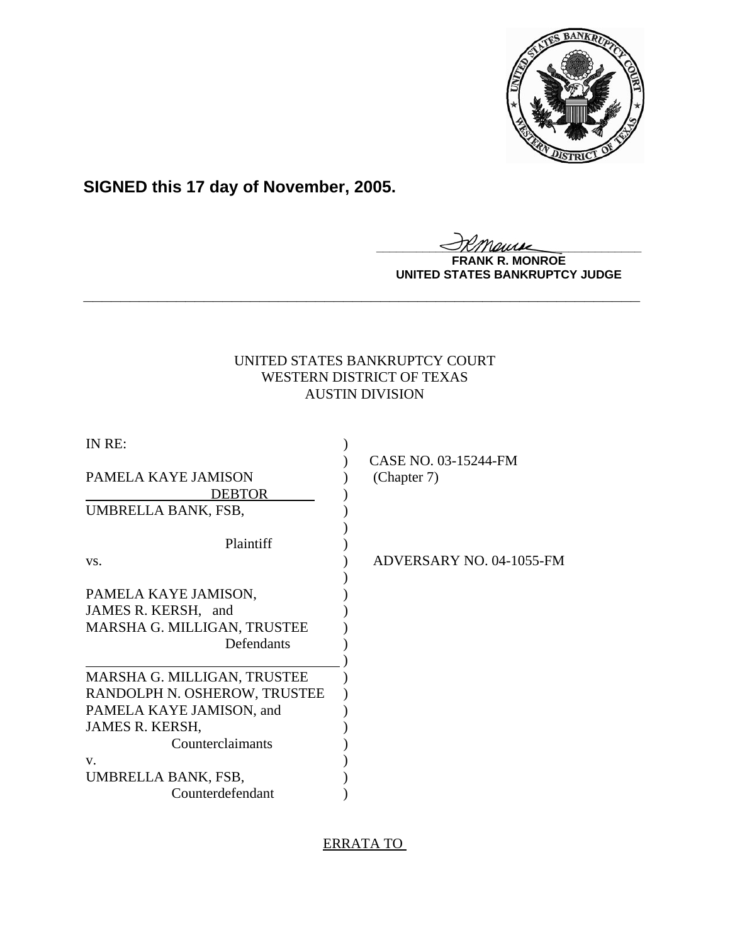

## **SIGNED this 17 day of November, 2005.**

<u>IKThemse</u>

**FRANK R. MONROE UNITED STATES BANKRUPTCY JUDGE**

## UNITED STATES BANKRUPTCY COURT WESTERN DISTRICT OF TEXAS AUSTIN DIVISION

**\_\_\_\_\_\_\_\_\_\_\_\_\_\_\_\_\_\_\_\_\_\_\_\_\_\_\_\_\_\_\_\_\_\_\_\_\_\_\_\_\_\_\_\_\_\_\_\_\_\_\_\_\_\_\_\_\_\_\_\_**

| IN RE:                                                                                   | CASE NO. 03-15244-FM     |
|------------------------------------------------------------------------------------------|--------------------------|
| <b>PAMELA KAYE JAMISON</b><br><b>DEBTOR</b>                                              | (Chapter 7)              |
| UMBRELLA BANK, FSB,                                                                      |                          |
| Plaintiff                                                                                |                          |
| VS.                                                                                      | ADVERSARY NO. 04-1055-FM |
| PAMELA KAYE JAMISON,<br>JAMES R. KERSH, and<br>MARSHA G. MILLIGAN, TRUSTEE<br>Defendants |                          |
| MARSHA G. MILLIGAN, TRUSTEE                                                              |                          |
| RANDOLPH N. OSHEROW, TRUSTEE                                                             |                          |
| PAMELA KAYE JAMISON, and                                                                 |                          |
| JAMES R. KERSH,                                                                          |                          |
| Counterclaimants                                                                         |                          |
| V.                                                                                       |                          |
| UMBRELLA BANK, FSB,                                                                      |                          |
| Counterdefendant                                                                         |                          |

## ERRATA TO